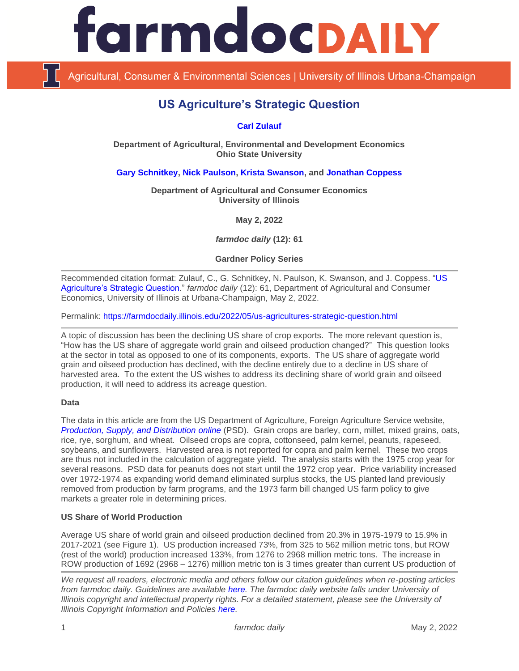

Agricultural, Consumer & Environmental Sciences | University of Illinois Urbana-Champaign

# **US Agriculture's Strategic Question**

## **[Carl Zulauf](http://aede.osu.edu/our-people/carl-zulauf)**

**Department of Agricultural, Environmental and Development Economics Ohio State University**

**[Gary Schnitkey,](https://ace.illinois.edu/directory/schnitke) [Nick Paulson,](https://ace.illinois.edu/directory/npaulson) [Krista Swanson,](https://ace.illinois.edu/directory/krista) and [Jonathan Coppess](https://ace.illinois.edu/directory/jwcoppes)**

**Department of Agricultural and Consumer Economics University of Illinois**

**May 2, 2022**

*farmdoc daily* **(12): 61**

**Gardner Policy Series**

Recommended citation format: Zulauf, C., G. Schnitkey, N. Paulson, K. Swanson, and J. Coppess. "US [Agriculture's Strategic Question.](https://farmdocdaily.illinois.edu/2022/05/us-agricultures-strategic-question.html)" *farmdoc daily* (12): 61, Department of Agricultural and Consumer Economics, University of Illinois at Urbana-Champaign, May 2, 2022.

Permalink:<https://farmdocdaily.illinois.edu/2022/05/us-agricultures-strategic-question.html>

A topic of discussion has been the declining US share of crop exports. The more relevant question is, "How has the US share of aggregate world grain and oilseed production changed?" This question looks at the sector in total as opposed to one of its components, exports. The US share of aggregate world grain and oilseed production has declined, with the decline entirely due to a decline in US share of harvested area. To the extent the US wishes to address its declining share of world grain and oilseed production, it will need to address its acreage question.

#### **Data**

The data in this article are from the US Department of Agriculture, Foreign Agriculture Service website, *[Production, Supply, and Distribution](https://apps.fas.usda.gov/psdonline/app/index.html) online* (PSD). Grain crops are barley, corn, millet, mixed grains, oats, rice, rye, sorghum, and wheat. Oilseed crops are copra, cottonseed, palm kernel, peanuts, rapeseed, soybeans, and sunflowers. Harvested area is not reported for copra and palm kernel. These two crops are thus not included in the calculation of aggregate yield. The analysis starts with the 1975 crop year for several reasons. PSD data for peanuts does not start until the 1972 crop year. Price variability increased over 1972-1974 as expanding world demand eliminated surplus stocks, the US planted land previously removed from production by farm programs, and the 1973 farm bill changed US farm policy to give markets a greater role in determining prices.

## **US Share of World Production**

Average US share of world grain and oilseed production declined from 20.3% in 1975-1979 to 15.9% in 2017-2021 (see Figure 1). US production increased 73%, from 325 to 562 million metric tons, but ROW (rest of the world) production increased 133%, from 1276 to 2968 million metric tons. The increase in ROW production of 1692 (2968 – 1276) million metric ton is 3 times greater than current US production of

*We request all readers, electronic media and others follow our citation guidelines when re-posting articles from farmdoc daily. Guidelines are available [here.](http://farmdocdaily.illinois.edu/citationguide.html) The farmdoc daily website falls under University of Illinois copyright and intellectual property rights. For a detailed statement, please see the University of Illinois Copyright Information and Policies [here.](http://www.cio.illinois.edu/policies/copyright/)*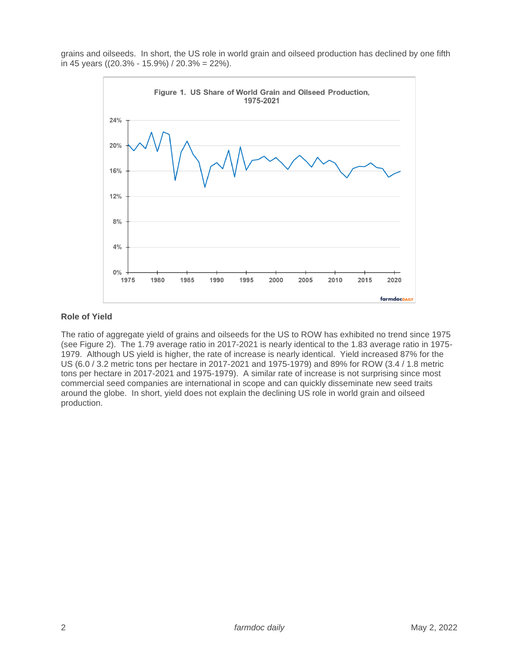grains and oilseeds. In short, the US role in world grain and oilseed production has declined by one fifth in 45 years ((20.3% - 15.9%) / 20.3% = 22%).



### **Role of Yield**

The ratio of aggregate yield of grains and oilseeds for the US to ROW has exhibited no trend since 1975 (see Figure 2). The 1.79 average ratio in 2017-2021 is nearly identical to the 1.83 average ratio in 1975- 1979. Although US yield is higher, the rate of increase is nearly identical. Yield increased 87% for the US (6.0 / 3.2 metric tons per hectare in 2017-2021 and 1975-1979) and 89% for ROW (3.4 / 1.8 metric tons per hectare in 2017-2021 and 1975-1979). A similar rate of increase is not surprising since most commercial seed companies are international in scope and can quickly disseminate new seed traits around the globe. In short, yield does not explain the declining US role in world grain and oilseed production.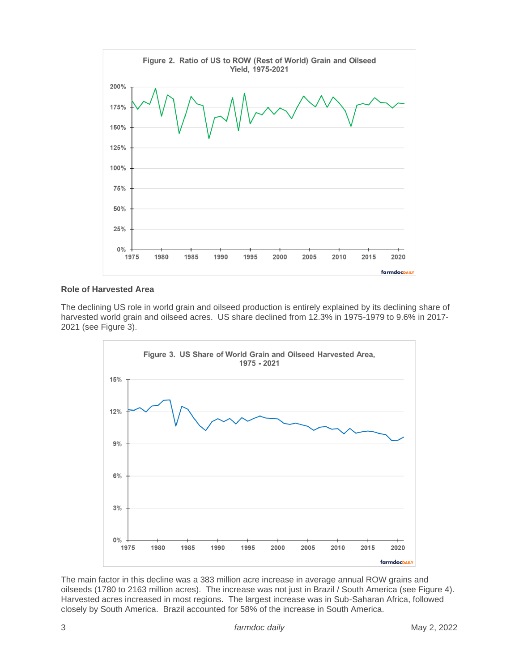

## **Role of Harvested Area**

The declining US role in world grain and oilseed production is entirely explained by its declining share of harvested world grain and oilseed acres. US share declined from 12.3% in 1975-1979 to 9.6% in 2017- 2021 (see Figure 3).



The main factor in this decline was a 383 million acre increase in average annual ROW grains and oilseeds (1780 to 2163 million acres). The increase was not just in Brazil / South America (see Figure 4). Harvested acres increased in most regions. The largest increase was in Sub-Saharan Africa, followed closely by South America. Brazil accounted for 58% of the increase in South America.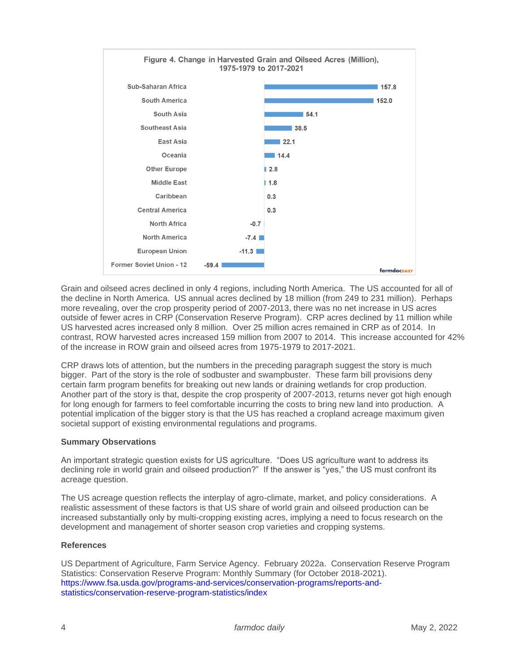

Grain and oilseed acres declined in only 4 regions, including North America. The US accounted for all of the decline in North America. US annual acres declined by 18 million (from 249 to 231 million). Perhaps more revealing, over the crop prosperity period of 2007-2013, there was no net increase in US acres outside of fewer acres in CRP (Conservation Reserve Program). CRP acres declined by 11 million while US harvested acres increased only 8 million. Over 25 million acres remained in CRP as of 2014. In contrast, ROW harvested acres increased 159 million from 2007 to 2014. This increase accounted for 42% of the increase in ROW grain and oilseed acres from 1975-1979 to 2017-2021.

CRP draws lots of attention, but the numbers in the preceding paragraph suggest the story is much bigger. Part of the story is the role of sodbuster and swampbuster. These farm bill provisions deny certain farm program benefits for breaking out new lands or draining wetlands for crop production. Another part of the story is that, despite the crop prosperity of 2007-2013, returns never got high enough for long enough for farmers to feel comfortable incurring the costs to bring new land into production. A potential implication of the bigger story is that the US has reached a cropland acreage maximum given societal support of existing environmental regulations and programs.

## **Summary Observations**

An important strategic question exists for US agriculture. "Does US agriculture want to address its declining role in world grain and oilseed production?" If the answer is "yes," the US must confront its acreage question.

The US acreage question reflects the interplay of agro-climate, market, and policy considerations. A realistic assessment of these factors is that US share of world grain and oilseed production can be increased substantially only by multi-cropping existing acres, implying a need to focus research on the development and management of shorter season crop varieties and cropping systems.

#### **References**

US Department of Agriculture, Farm Service Agency. February 2022a. Conservation Reserve Program Statistics: Conservation Reserve Program: Monthly Summary (for October 2018-2021). [https://www.fsa.usda.gov/programs-and-services/conservation-programs/reports-and](https://www.fsa.usda.gov/programs-and-services/conservation-programs/reports-and-statistics/conservation-reserve-program-statistics/index)[statistics/conservation-reserve-program-statistics/index](https://www.fsa.usda.gov/programs-and-services/conservation-programs/reports-and-statistics/conservation-reserve-program-statistics/index)